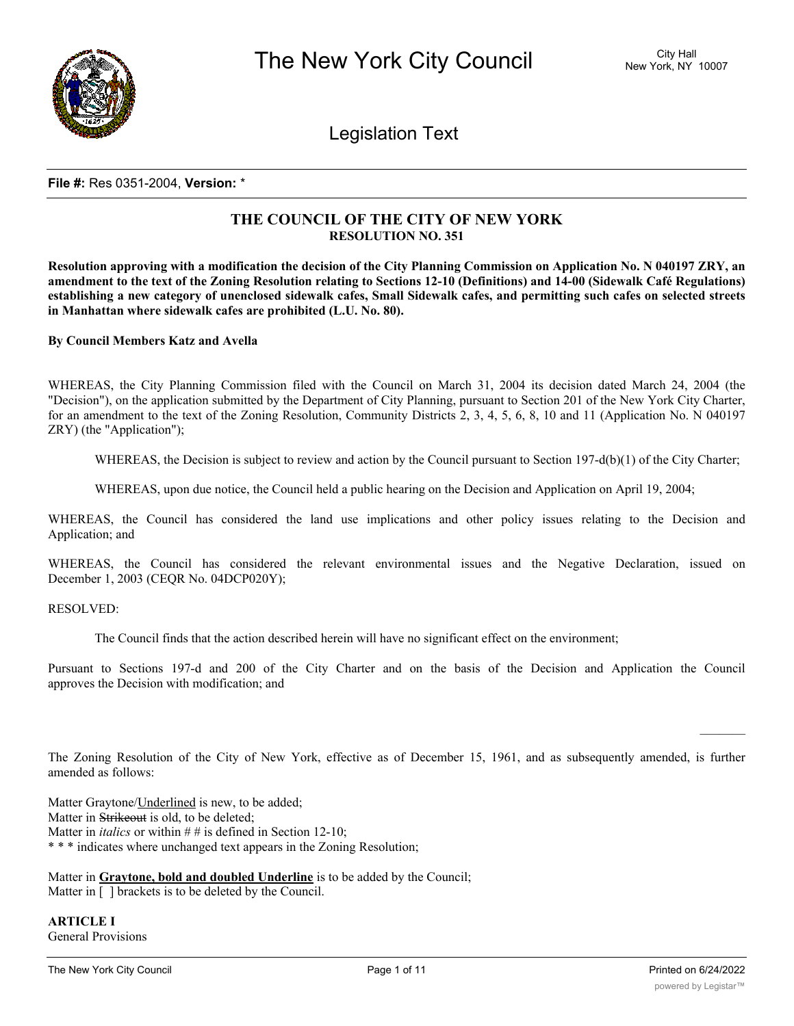

Legislation Text

## **File #:** Res 0351-2004, **Version:** \*

# **THE COUNCIL OF THE CITY OF NEW YORK RESOLUTION NO. 351**

Resolution approving with a modification the decision of the City Planning Commission on Application No. N 040197 ZRY, an amendment to the text of the Zoning Resolution relating to Sections 12-10 (Definitions) and 14-00 (Sidewalk Café Regulations) establishing a new category of unenclosed sidewalk cafes, Small Sidewalk cafes, and permitting such cafes on selected streets **in Manhattan where sidewalk cafes are prohibited (L.U. No. 80).**

**By Council Members Katz and Avella**

WHEREAS, the City Planning Commission filed with the Council on March 31, 2004 its decision dated March 24, 2004 (the "Decision"), on the application submitted by the Department of City Planning, pursuant to Section 201 of the New York City Charter, for an amendment to the text of the Zoning Resolution, Community Districts 2, 3, 4, 5, 6, 8, 10 and 11 (Application No. N 040197 ZRY) (the "Application");

WHEREAS, the Decision is subject to review and action by the Council pursuant to Section 197-d(b)(1) of the City Charter;

WHEREAS, upon due notice, the Council held a public hearing on the Decision and Application on April 19, 2004;

WHEREAS, the Council has considered the land use implications and other policy issues relating to the Decision and Application; and

WHEREAS, the Council has considered the relevant environmental issues and the Negative Declaration, issued on December 1, 2003 (CEQR No. 04DCP020Y);

RESOLVED:

The Council finds that the action described herein will have no significant effect on the environment;

Pursuant to Sections 197-d and 200 of the City Charter and on the basis of the Decision and Application the Council approves the Decision with modification; and

The Zoning Resolution of the City of New York, effective as of December 15, 1961, and as subsequently amended, is further amended as follows:

Matter Graytone/Underlined is new, to be added; Matter in Strikeout is old, to be deleted; Matter in *italics* or within # # is defined in Section 12-10; \* \* \* indicates where unchanged text appears in the Zoning Resolution;

Matter in **Graytone, bold and doubled Underline** is to be added by the Council; Matter in  $\lceil \ \rceil$  brackets is to be deleted by the Council.

**ARTICLE I** General Provisions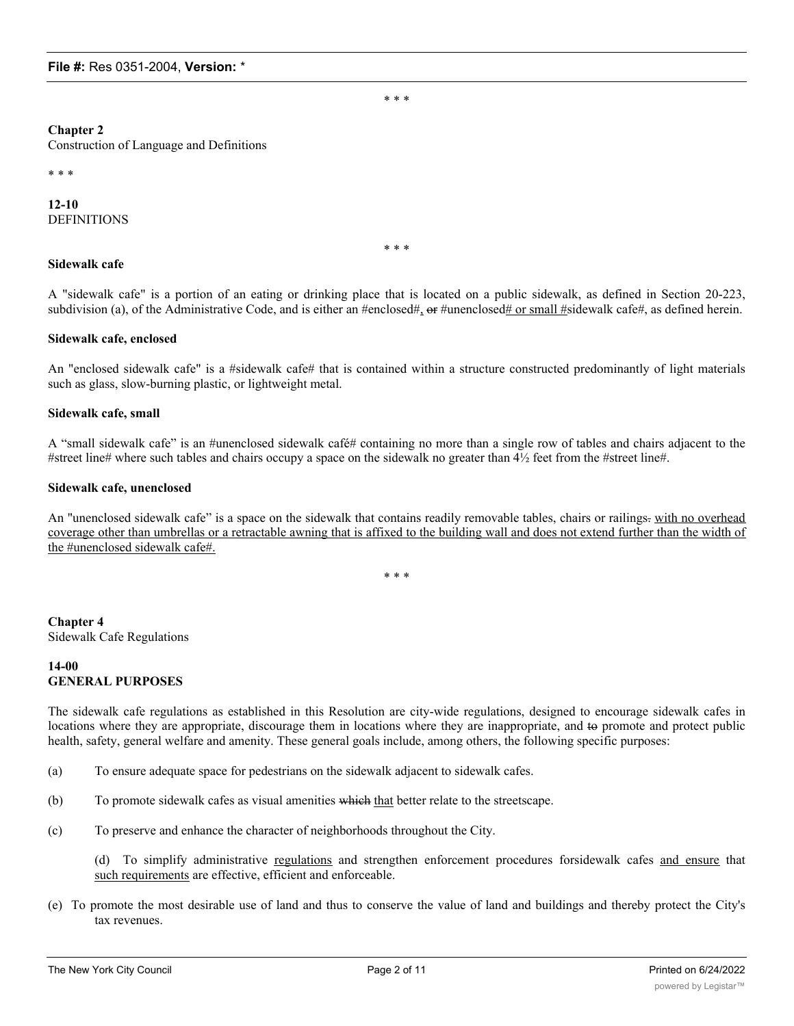\* \* \*

#### **Chapter 2**

Construction of Language and Definitions

\* \* \*

## **12-10** DEFINITIONS

\* \* \*

# **Sidewalk cafe**

A "sidewalk cafe" is a portion of an eating or drinking place that is located on a public sidewalk, as defined in Section 20-223, subdivision (a), of the Administrative Code, and is either an #enclosed#, or #unenclosed# or small #sidewalk cafe#, as defined herein.

### **Sidewalk cafe, enclosed**

An "enclosed sidewalk cafe" is a #sidewalk cafe# that is contained within a structure constructed predominantly of light materials such as glass, slow-burning plastic, or lightweight metal.

## **Sidewalk cafe, small**

A "small sidewalk cafe" is an #unenclosed sidewalk café# containing no more than a single row of tables and chairs adjacent to the #street line# where such tables and chairs occupy a space on the sidewalk no greater than 4½ feet from the #street line#.

### **Sidewalk cafe, unenclosed**

An "unenclosed sidewalk cafe" is a space on the sidewalk that contains readily removable tables, chairs or railings-with no overhead coverage other than umbrellas or a retractable awning that is affixed to the building wall and does not extend further than the width of the #unenclosed sidewalk cafe#.

\* \* \*

**Chapter 4** Sidewalk Cafe Regulations

## **14-00 GENERAL PURPOSES**

The sidewalk cafe regulations as established in this Resolution are city-wide regulations, designed to encourage sidewalk cafes in locations where they are appropriate, discourage them in locations where they are inappropriate, and to promote and protect public health, safety, general welfare and amenity. These general goals include, among others, the following specific purposes:

- (a) To ensure adequate space for pedestrians on the sidewalk adjacent to sidewalk cafes.
- (b) To promote sidewalk cafes as visual amenities which that better relate to the streetscape.
- (c) To preserve and enhance the character of neighborhoods throughout the City.

(d) To simplify administrative regulations and strengthen enforcement procedures forsidewalk cafes and ensure that such requirements are effective, efficient and enforceable.

(e) To promote the most desirable use of land and thus to conserve the value of land and buildings and thereby protect the City's tax revenues.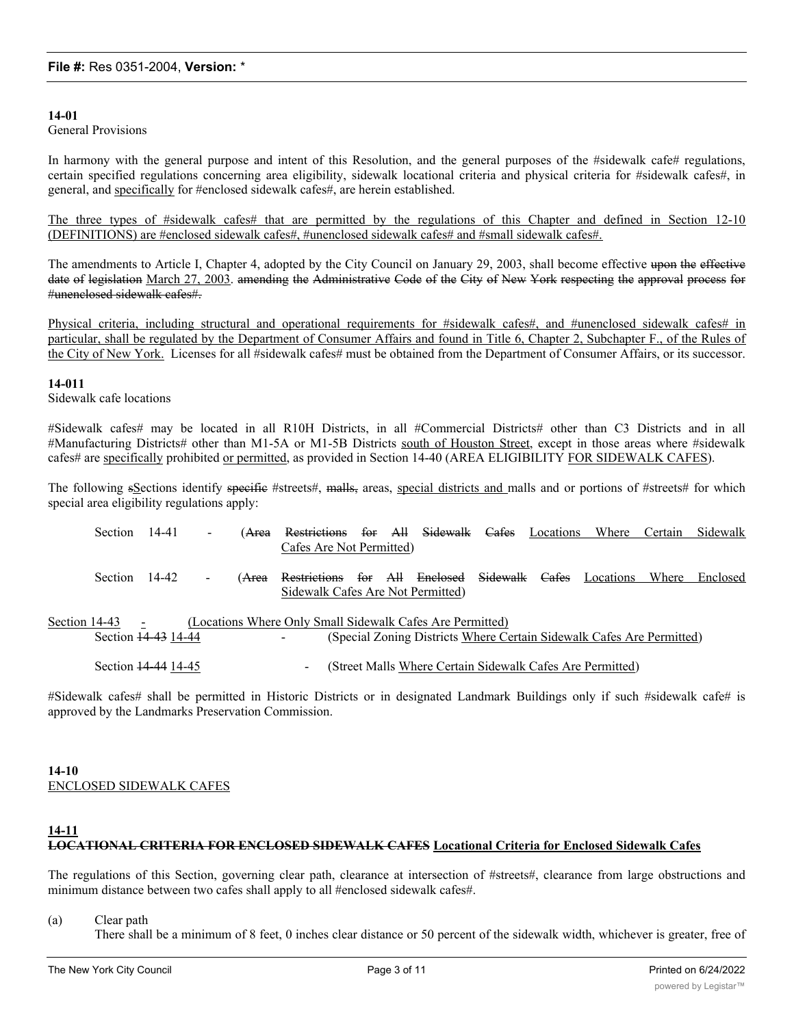## **14-01**

General Provisions

In harmony with the general purpose and intent of this Resolution, and the general purposes of the #sidewalk cafe# regulations, certain specified regulations concerning area eligibility, sidewalk locational criteria and physical criteria for #sidewalk cafes#, in general, and specifically for #enclosed sidewalk cafes#, are herein established.

The three types of #sidewalk cafes# that are permitted by the regulations of this Chapter and defined in Section 12-10 (DEFINITIONS) are #enclosed sidewalk cafes#, #unenclosed sidewalk cafes# and #small sidewalk cafes#.

The amendments to Article I, Chapter 4, adopted by the City Council on January 29, 2003, shall become effective upon the effective date of legislation March 27, 2003. amending the Administrative Code of the City of New York respecting the approval process for #unenclosed sidewalk cafes#.

Physical criteria, including structural and operational requirements for #sidewalk cafes#, and #unenclosed sidewalk cafes# in particular, shall be regulated by the Department of Consumer Affairs and found in Title 6, Chapter 2, Subchapter F., of the Rules of the City of New York. Licenses for all #sidewalk cafes# must be obtained from the Department of Consumer Affairs, or its successor.

## **14-011**

Sidewalk cafe locations

#Sidewalk cafes# may be located in all R10H Districts, in all #Commercial Districts# other than C3 Districts and in all #Manufacturing Districts# other than M1-5A or M1-5B Districts south of Houston Street, except in those areas where #sidewalk cafes# are specifically prohibited or permitted, as provided in Section 14-40 (AREA ELIGIBILITY FOR SIDEWALK CAFES).

The following sSections identify specific #streets#, malls, areas, special districts and malls and or portions of #streets# for which special area eligibility regulations apply:

|                                                                                                                                                                            | Section        | 14-41               |                | ( <del>Area</del> | <b>Restrictions</b>                                                         | for | All | Sidewalk                                                  | Cafes | Locations | Where     | Certain | Sidewalk |
|----------------------------------------------------------------------------------------------------------------------------------------------------------------------------|----------------|---------------------|----------------|-------------------|-----------------------------------------------------------------------------|-----|-----|-----------------------------------------------------------|-------|-----------|-----------|---------|----------|
|                                                                                                                                                                            |                |                     |                |                   | Cafes Are Not Permitted)                                                    |     |     |                                                           |       |           |           |         |          |
|                                                                                                                                                                            | <b>Section</b> | 14-42               | $\blacksquare$ | ( <del>Area</del> | Restrictions for All Enclosed Sidewalk<br>Sidewalk Cafes Are Not Permitted) |     |     |                                                           |       | Cafes     | Locations | Where   | Enclosed |
| Section 14-43<br>(Locations Where Only Small Sidewalk Cafes Are Permitted)<br>Section 14-43 14-44<br>(Special Zoning Districts Where Certain Sidewalk Cafes Are Permitted) |                |                     |                |                   |                                                                             |     |     |                                                           |       |           |           |         |          |
|                                                                                                                                                                            |                | Section 14-44 14-45 |                |                   | -                                                                           |     |     | (Street Malls Where Certain Sidewalk Cafes Are Permitted) |       |           |           |         |          |

#Sidewalk cafes# shall be permitted in Historic Districts or in designated Landmark Buildings only if such #sidewalk cafe# is approved by the Landmarks Preservation Commission.

### **14-10** ENCLOSED SIDEWALK CAFES

# **14-11 LOCATIONAL CRITERIA FOR ENCLOSED SIDEWALK CAFES Locational Criteria for Enclosed Sidewalk Cafes**

The regulations of this Section, governing clear path, clearance at intersection of #streets#, clearance from large obstructions and minimum distance between two cafes shall apply to all #enclosed sidewalk cafes#.

(a) Clear path

There shall be a minimum of 8 feet, 0 inches clear distance or 50 percent of the sidewalk width, whichever is greater, free of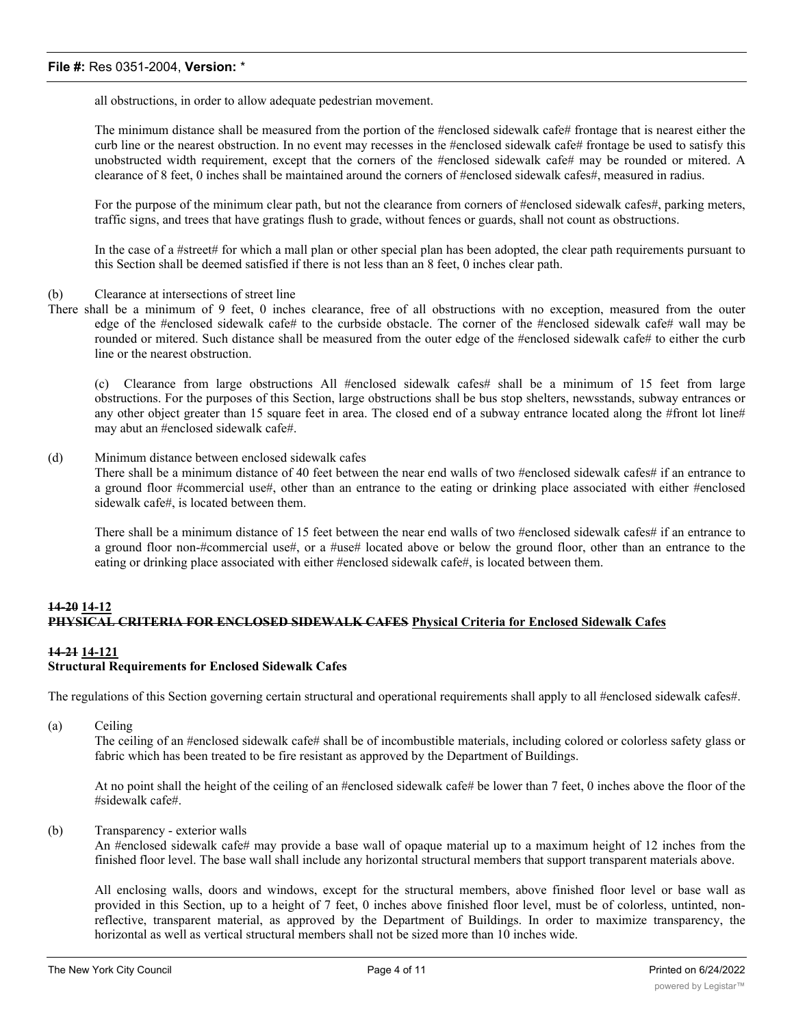all obstructions, in order to allow adequate pedestrian movement.

The minimum distance shall be measured from the portion of the #enclosed sidewalk cafe# frontage that is nearest either the curb line or the nearest obstruction. In no event may recesses in the #enclosed sidewalk cafe# frontage be used to satisfy this unobstructed width requirement, except that the corners of the #enclosed sidewalk cafe# may be rounded or mitered. A clearance of 8 feet, 0 inches shall be maintained around the corners of #enclosed sidewalk cafes#, measured in radius.

For the purpose of the minimum clear path, but not the clearance from corners of #enclosed sidewalk cafes#, parking meters, traffic signs, and trees that have gratings flush to grade, without fences or guards, shall not count as obstructions.

In the case of a #street# for which a mall plan or other special plan has been adopted, the clear path requirements pursuant to this Section shall be deemed satisfied if there is not less than an 8 feet, 0 inches clear path.

### (b) Clearance at intersections of street line

There shall be a minimum of 9 feet, 0 inches clearance, free of all obstructions with no exception, measured from the outer edge of the #enclosed sidewalk cafe# to the curbside obstacle. The corner of the #enclosed sidewalk cafe# wall may be rounded or mitered. Such distance shall be measured from the outer edge of the #enclosed sidewalk cafe# to either the curb line or the nearest obstruction.

(c) Clearance from large obstructions All #enclosed sidewalk cafes# shall be a minimum of 15 feet from large obstructions. For the purposes of this Section, large obstructions shall be bus stop shelters, newsstands, subway entrances or any other object greater than 15 square feet in area. The closed end of a subway entrance located along the #front lot line# may abut an #enclosed sidewalk cafe#.

#### (d) Minimum distance between enclosed sidewalk cafes

There shall be a minimum distance of 40 feet between the near end walls of two #enclosed sidewalk cafes# if an entrance to a ground floor #commercial use#, other than an entrance to the eating or drinking place associated with either #enclosed sidewalk cafe#, is located between them.

There shall be a minimum distance of 15 feet between the near end walls of two #enclosed sidewalk cafes# if an entrance to a ground floor non-#commercial use#, or a #use# located above or below the ground floor, other than an entrance to the eating or drinking place associated with either #enclosed sidewalk cafe#, is located between them.

# **14-20 14-12 PHYSICAL CRITERIA FOR ENCLOSED SIDEWALK CAFES Physical Criteria for Enclosed Sidewalk Cafes**

## **14-21 14-121 Structural Requirements for Enclosed Sidewalk Cafes**

The regulations of this Section governing certain structural and operational requirements shall apply to all #enclosed sidewalk cafes#.

(a) Ceiling

The ceiling of an #enclosed sidewalk cafe# shall be of incombustible materials, including colored or colorless safety glass or fabric which has been treated to be fire resistant as approved by the Department of Buildings.

At no point shall the height of the ceiling of an #enclosed sidewalk cafe# be lower than 7 feet, 0 inches above the floor of the #sidewalk cafe#.

(b) Transparency - exterior walls

An #enclosed sidewalk cafe# may provide a base wall of opaque material up to a maximum height of 12 inches from the finished floor level. The base wall shall include any horizontal structural members that support transparent materials above.

All enclosing walls, doors and windows, except for the structural members, above finished floor level or base wall as provided in this Section, up to a height of 7 feet, 0 inches above finished floor level, must be of colorless, untinted, nonreflective, transparent material, as approved by the Department of Buildings. In order to maximize transparency, the horizontal as well as vertical structural members shall not be sized more than 10 inches wide.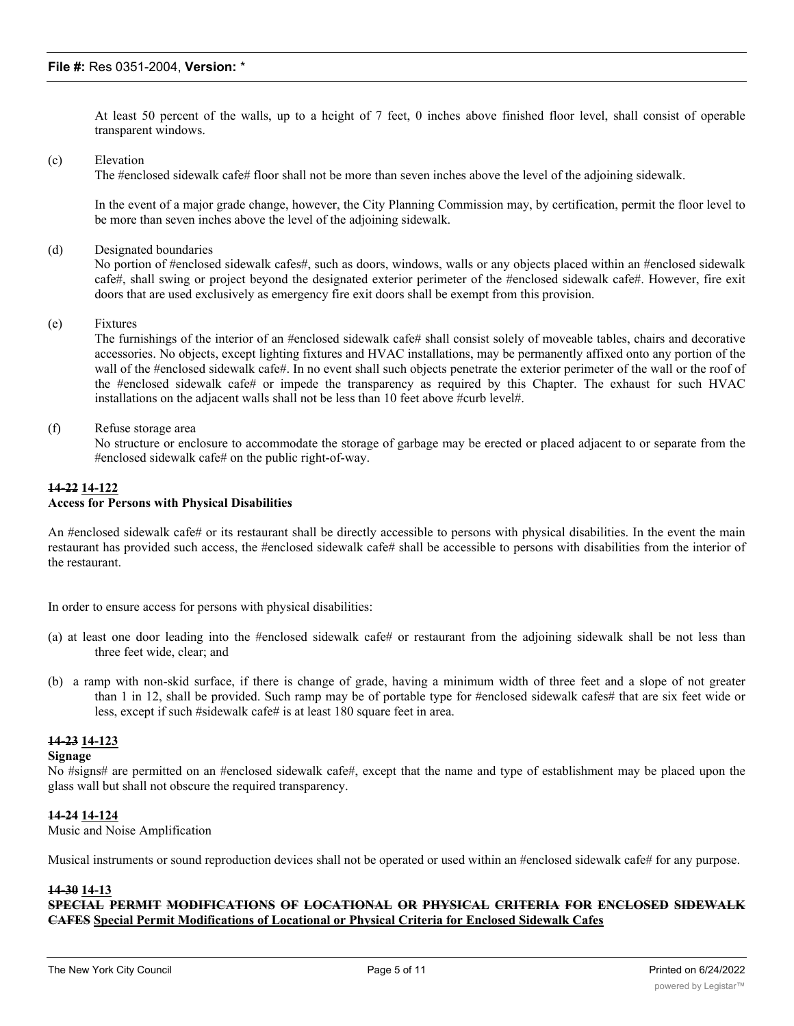At least 50 percent of the walls, up to a height of 7 feet, 0 inches above finished floor level, shall consist of operable transparent windows.

### (c) Elevation

The #enclosed sidewalk cafe# floor shall not be more than seven inches above the level of the adjoining sidewalk.

In the event of a major grade change, however, the City Planning Commission may, by certification, permit the floor level to be more than seven inches above the level of the adjoining sidewalk.

#### (d) Designated boundaries

No portion of #enclosed sidewalk cafes#, such as doors, windows, walls or any objects placed within an #enclosed sidewalk cafe#, shall swing or project beyond the designated exterior perimeter of the #enclosed sidewalk cafe#. However, fire exit doors that are used exclusively as emergency fire exit doors shall be exempt from this provision.

(e) Fixtures

The furnishings of the interior of an #enclosed sidewalk cafe# shall consist solely of moveable tables, chairs and decorative accessories. No objects, except lighting fixtures and HVAC installations, may be permanently affixed onto any portion of the wall of the #enclosed sidewalk cafe#. In no event shall such objects penetrate the exterior perimeter of the wall or the roof of the #enclosed sidewalk cafe# or impede the transparency as required by this Chapter. The exhaust for such HVAC installations on the adjacent walls shall not be less than 10 feet above #curb level#.

(f) Refuse storage area

No structure or enclosure to accommodate the storage of garbage may be erected or placed adjacent to or separate from the #enclosed sidewalk cafe# on the public right-of-way.

#### **14-22 14-122 Access for Persons with Physical Disabilities**

An #enclosed sidewalk cafe# or its restaurant shall be directly accessible to persons with physical disabilities. In the event the main restaurant has provided such access, the #enclosed sidewalk cafe# shall be accessible to persons with disabilities from the interior of the restaurant.

In order to ensure access for persons with physical disabilities:

- (a) at least one door leading into the #enclosed sidewalk cafe# or restaurant from the adjoining sidewalk shall be not less than three feet wide, clear; and
- (b) a ramp with non-skid surface, if there is change of grade, having a minimum width of three feet and a slope of not greater than 1 in 12, shall be provided. Such ramp may be of portable type for #enclosed sidewalk cafes# that are six feet wide or less, except if such #sidewalk cafe# is at least 180 square feet in area.

## **14-23 14-123**

### **Signage**

No #signs# are permitted on an #enclosed sidewalk cafe#, except that the name and type of establishment may be placed upon the glass wall but shall not obscure the required transparency.

### **14-24 14-124**

Music and Noise Amplification

Musical instruments or sound reproduction devices shall not be operated or used within an #enclosed sidewalk cafe# for any purpose.

# **14-30 14-13**

**SPECIAL PERMIT MODIFICATIONS OF LOCATIONAL OR PHYSICAL CRITERIA FOR ENCLOSED SIDEWALK CAFES Special Permit Modifications of Locational or Physical Criteria for Enclosed Sidewalk Cafes**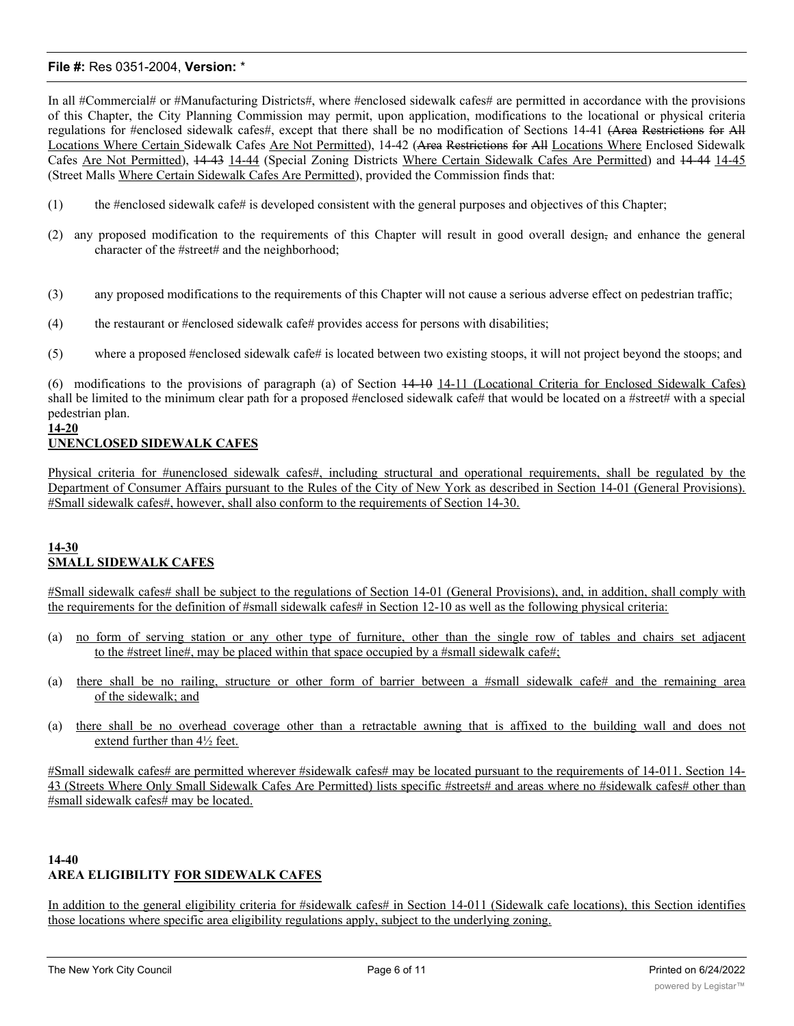In all #Commercial# or #Manufacturing Districts#, where #enclosed sidewalk cafes# are permitted in accordance with the provisions of this Chapter, the City Planning Commission may permit, upon application, modifications to the locational or physical criteria regulations for #enclosed sidewalk cafes#, except that there shall be no modification of Sections 14-41 (Area Restrictions for All Locations Where Certain Sidewalk Cafes Are Not Permitted), 14-42 (Area Restrictions for All Locations Where Enclosed Sidewalk Cafes Are Not Permitted), 14-43 14-44 (Special Zoning Districts Where Certain Sidewalk Cafes Are Permitted) and 14-44 14-45 (Street Malls Where Certain Sidewalk Cafes Are Permitted), provided the Commission finds that:

- (1) the #enclosed sidewalk cafe# is developed consistent with the general purposes and objectives of this Chapter;
- (2) any proposed modification to the requirements of this Chapter will result in good overall design, and enhance the general character of the #street# and the neighborhood;
- (3) any proposed modifications to the requirements of this Chapter will not cause a serious adverse effect on pedestrian traffic;
- (4) the restaurant or  $#$ enclosed sidewalk cafe $#$  provides access for persons with disabilities;
- (5) where a proposed #enclosed sidewalk cafe# is located between two existing stoops, it will not project beyond the stoops; and

(6) modifications to the provisions of paragraph (a) of Section 14-10 14-11 (Locational Criteria for Enclosed Sidewalk Cafes) shall be limited to the minimum clear path for a proposed #enclosed sidewalk cafe# that would be located on a #street# with a special pedestrian plan.

# **14-20**

# **UNENCLOSED SIDEWALK CAFES**

Physical criteria for #unenclosed sidewalk cafes#, including structural and operational requirements, shall be regulated by the Department of Consumer Affairs pursuant to the Rules of the City of New York as described in Section 14-01 (General Provisions). #Small sidewalk cafes#, however, shall also conform to the requirements of Section 14-30.

# **14-30 SMALL SIDEWALK CAFES**

#Small sidewalk cafes# shall be subject to the regulations of Section 14-01 (General Provisions), and, in addition, shall comply with the requirements for the definition of #small sidewalk cafes# in Section 12-10 as well as the following physical criteria:

- (a) no form of serving station or any other type of furniture, other than the single row of tables and chairs set adjacent to the #street line#, may be placed within that space occupied by a #small sidewalk cafe#;
- (a) there shall be no railing, structure or other form of barrier between a #small sidewalk cafe# and the remaining area of the sidewalk; and
- (a) there shall be no overhead coverage other than a retractable awning that is affixed to the building wall and does not extend further than 4½ feet.

#Small sidewalk cafes# are permitted wherever #sidewalk cafes# may be located pursuant to the requirements of 14-011. Section 14- 43 (Streets Where Only Small Sidewalk Cafes Are Permitted) lists specific #streets# and areas where no #sidewalk cafes# other than #small sidewalk cafes# may be located.

# **14-40 AREA ELIGIBILITY FOR SIDEWALK CAFES**

In addition to the general eligibility criteria for #sidewalk cafes# in Section 14-011 (Sidewalk cafe locations), this Section identifies those locations where specific area eligibility regulations apply, subject to the underlying zoning.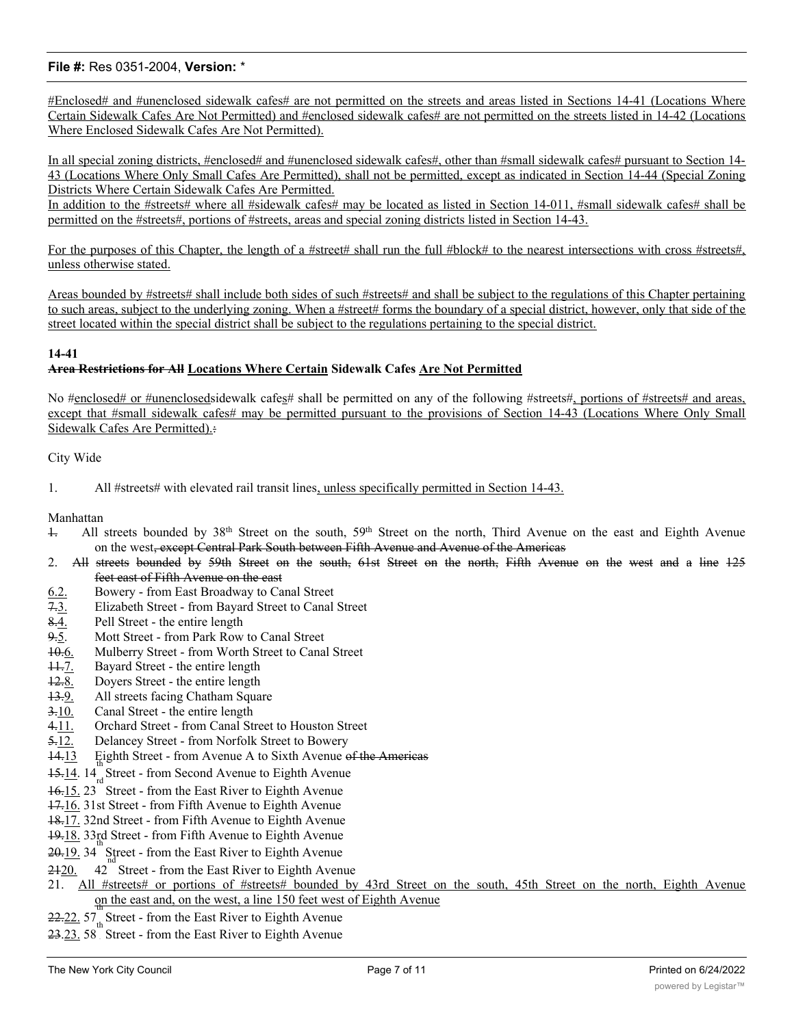#Enclosed# and #unenclosed sidewalk cafes# are not permitted on the streets and areas listed in Sections 14-41 (Locations Where Certain Sidewalk Cafes Are Not Permitted) and #enclosed sidewalk cafes# are not permitted on the streets listed in 14-42 (Locations Where Enclosed Sidewalk Cafes Are Not Permitted).

In all special zoning districts, #enclosed# and #unenclosed sidewalk cafes#, other than #small sidewalk cafes# pursuant to Section 14- 43 (Locations Where Only Small Cafes Are Permitted), shall not be permitted, except as indicated in Section 14-44 (Special Zoning Districts Where Certain Sidewalk Cafes Are Permitted.

In addition to the #streets# where all #sidewalk cafes# may be located as listed in Section 14-011, #small sidewalk cafes# shall be permitted on the #streets#, portions of #streets, areas and special zoning districts listed in Section 14-43.

For the purposes of this Chapter, the length of a #street# shall run the full #block# to the nearest intersections with cross #streets#, unless otherwise stated.

Areas bounded by #streets# shall include both sides of such #streets# and shall be subject to the regulations of this Chapter pertaining to such areas, subject to the underlying zoning. When a #street# forms the boundary of a special district, however, only that side of the street located within the special district shall be subject to the regulations pertaining to the special district.

# **14-41**

# **Area Restrictions for All Locations Where Certain Sidewalk Cafes Are Not Permitted**

No #enclosed# or #unenclosedsidewalk cafes# shall be permitted on any of the following #streets#, portions of #streets# and areas, except that #small sidewalk cafes# may be permitted pursuant to the provisions of Section 14-43 (Locations Where Only Small Sidewalk Cafes Are Permitted).:

## City Wide

1. All #streets# with elevated rail transit lines, unless specifically permitted in Section 14-43.

## Manhattan

- 1. All streets bounded by 38th Street on the south, 59th Street on the north, Third Avenue on the east and Eighth Avenue on the west, except Central Park South between Fifth Avenue and Avenue of the Americas
- 2. All streets bounded by 59th Street on the south, 61st Street on the north, Fifth Avenue on the west and a line 125 feet east of Fifth Avenue on the east
- $\under{6.2.}$  Bowery from East Broadway to Canal Street  $\overline{7.3.}$  Elizabeth Street from Bayard Street to Canal
- 7.3. Elizabeth Street from Bayard Street to Canal Street
- 8.4. Pell Street the entire length
- 9.5. Mott Street from Park Row to Canal Street
- 10.6. Mulberry Street from Worth Street to Canal Street
- 11.7. Bayard Street the entire length
- 12.8. Doyers Street the entire length
- 13.9. All streets facing Chatham Square
- 3.10. Canal Street the entire length
- 4.11. Orchard Street from Canal Street to Houston Street
- 5.12. Delancey Street from Norfolk Street to Bowery
- 14.13 Eighth Street from Avenue A to Sixth Avenue of the Americas
- $15.14<sub>rd</sub>$  Street from Second Avenue to Eighth Avenue
- 16.15. 23 Street from the East River to Eighth Avenue
- 17.16. 31st Street from Fifth Avenue to Eighth Avenue
- 18.17. 32nd Street from Fifth Avenue to Eighth Avenue
- 19.18. 33rd Street from Fifth Avenue to Eighth Avenue
- $20-19$ . 34 Street from the East River to Eighth Avenue
- $2420.$ Street - from the East River to Eighth Avenue
- 21. All #streets# or portions of #streets# bounded by 43rd Street on the south, 45th Street on the north, Eighth Avenue on the east and, on the west, a line 150 feet west of Eighth Avenue
- $22.22.57<sub>th</sub><sup>th</sup> Street from the East River to Eighth Avenue$
- 23.23. 58 Street from the East River to Eighth Avenue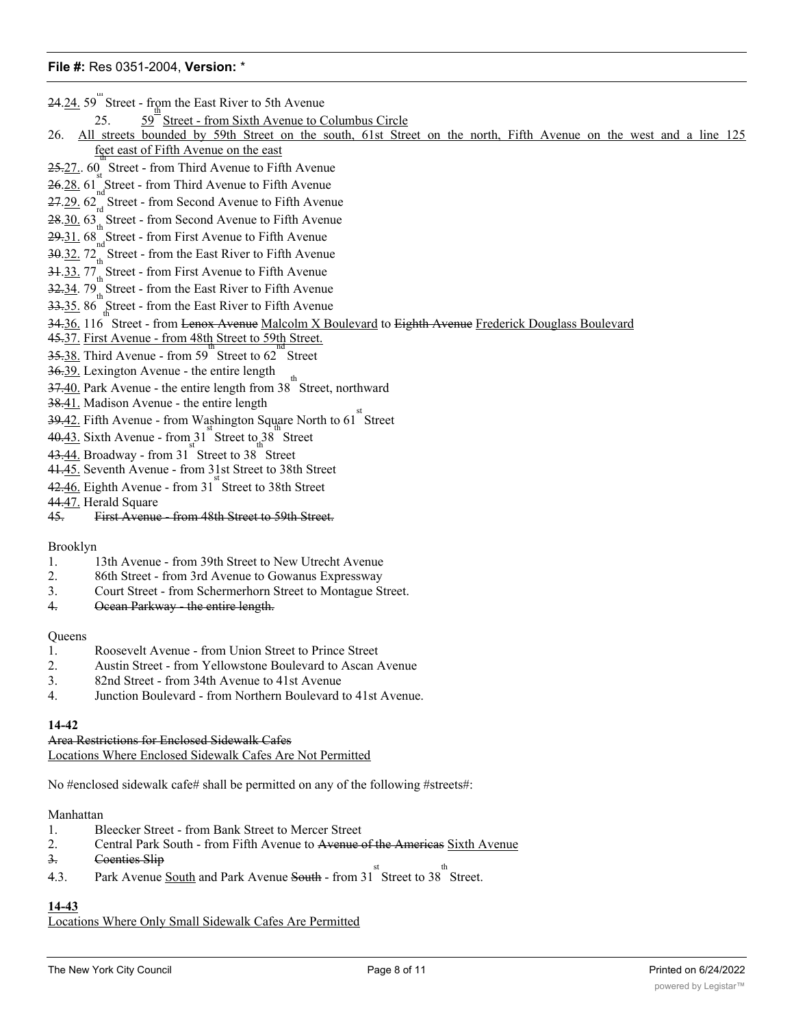$24.24.59$  Street - from the East River to 5th Avenue

25. th the Euler Hirls to California Columbus Circle<br>Street - from Sixth Avenue to Columbus Circle

# 26. All streets bounded by 59th Street on the south, 61st Street on the north, Fifth Avenue on the west and a line 125 feet east of Fifth Avenue on the east

- 25.27. 60 Street from Third Avenue to Fifth Avenue
- $26.28.61<sub>nd</sub><sub>sd</sub>$ Street from Third Avenue to Fifth Avenue
- 27.29. 62<sub>rd</sub> Street from Second Avenue to Fifth Avenue
- 28.30. 63<sub>th</sub> Street from Second Avenue to Fifth Avenue
- 29.31. 68 Street from First Avenue to Fifth Avenue
- 30.32. 72<sub>th</sub> Street from the East River to Fifth Avenue
- 31.33. 77<sub>th</sub> Street from First Avenue to Fifth Avenue
- 32.34. 79<sub>th</sub> Street from the East River to Fifth Avenue
- $33.35.86$  Street from the East River to Fifth Avenue
- 34.36, 116 Street from <del>Lenox Avenue</del> Malcolm X Boulevard to <del>Eighth Avenue Frederick Douglass Boulevard</del>
- 45.37. First Avenue from 48th Street to 59th Street.
- 35.38. Third Avenue from 59 Street to 62 Street
- 36.39. Lexington Avenue the entire length
- $\frac{37.40}{27.40}$ . Park Avenue the entire length from 38 Street, northward
- 38.41. Madison Avenue the entire length
- $\frac{39.42}{1}$ . Fifth Avenue from Washington Square North to 61<sup>st</sup> Street
- $40.43$ . Sixth Avenue from  $31^{5}$  Street to  $38^{5}$  Street
- $43.44.$  Broadway from 31 Street to 38 Street
- 41.45. Seventh Avenue from 31st Street to 38th Street
- $42.46$ . Eighth Avenue from  $31<sup>st</sup>$  Street to 38th Street
- 44.47. Herald Square
- 45. First Avenue from 48th Street to 59th Street.

## Brooklyn

- 1. 13th Avenue from 39th Street to New Utrecht Avenue
- 2. 86th Street from 3rd Avenue to Gowanus Expressway
- 3. Court Street from Schermerhorn Street to Montague Street.
- 4. Ocean Parkway the entire length.

### **Queens**

- 1. Roosevelt Avenue from Union Street to Prince Street
- 2. Austin Street from Yellowstone Boulevard to Ascan Avenue
- 3. 82nd Street from 34th Avenue to 41st Avenue
- 4. Junction Boulevard from Northern Boulevard to 41st Avenue.

### **14-42**

Area Restrictions for Enclosed Sidewalk Cafes Locations Where Enclosed Sidewalk Cafes Are Not Permitted

No #enclosed sidewalk cafe# shall be permitted on any of the following #streets#:

### Manhattan

- 1. Bleecker Street from Bank Street to Mercer Street
- 2. Central Park South from Fifth Avenue to Avenue of the Americas Sixth Avenue
- 3. Coenties Slip
- 4.3. Park Avenue South and Park Avenue South from  $31^{st}$  Street to  $38^{th}$  Street.

# **14-43**

Locations Where Only Small Sidewalk Cafes Are Permitted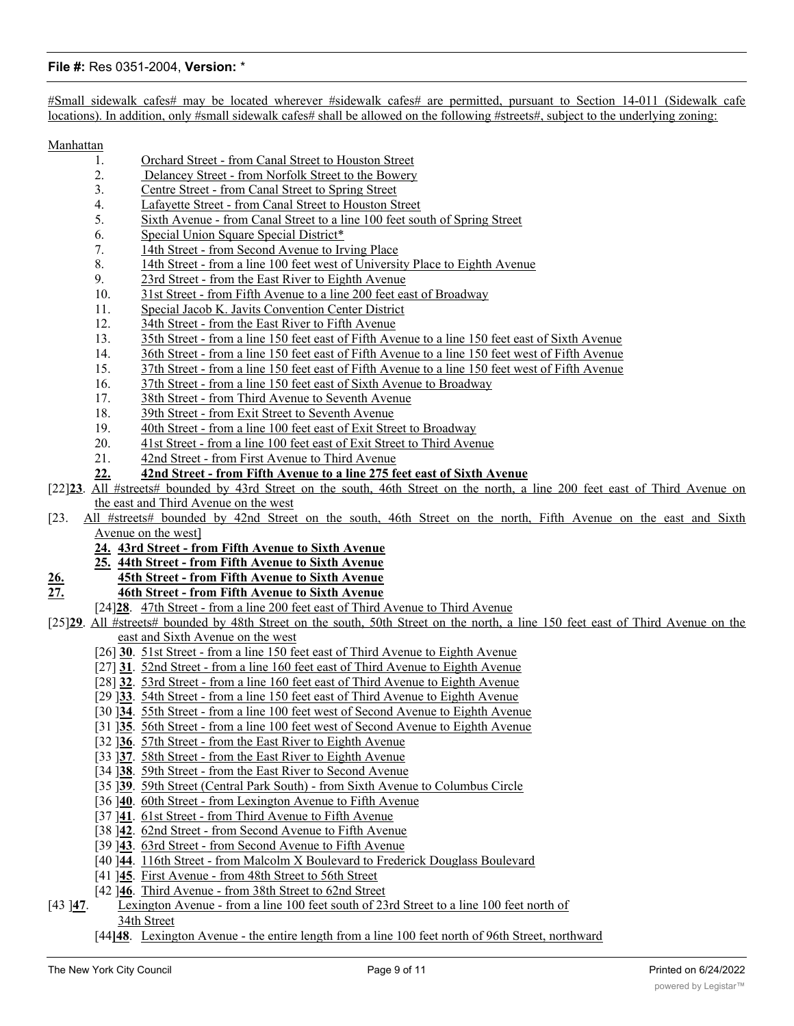#Small sidewalk cafes# may be located wherever #sidewalk cafes# are permitted, pursuant to Section 14-011 (Sidewalk cafe locations). In addition, only #small sidewalk cafes# shall be allowed on the following #streets#, subject to the underlying zoning:

Manhattan

- 1. Orchard Street from Canal Street to Houston Street
- 2. Delancey Street from Norfolk Street to the Bowery
- 3. Centre Street from Canal Street to Spring Street
- 4. Lafayette Street from Canal Street to Houston Street
- 5. Sixth Avenue from Canal Street to a line 100 feet south of Spring Street
- 6. Special Union Square Special District\*
- 7. 14th Street from Second Avenue to Irving Place
- 8. 14th Street from a line 100 feet west of University Place to Eighth Avenue
- 9. 23rd Street from the East River to Eighth Avenue
- 10. 31st Street from Fifth Avenue to a line 200 feet east of Broadway
- 11. Special Jacob K. Javits Convention Center District
- 12. 34th Street from the East River to Fifth Avenue
- 13. 35th Street from a line 150 feet east of Fifth Avenue to a line 150 feet east of Sixth Avenue
- 14. 36th Street from a line 150 feet east of Fifth Avenue to a line 150 feet west of Fifth Avenue
- 15. 37th Street from a line 150 feet east of Fifth Avenue to a line 150 feet west of Fifth Avenue
- 16. 37th Street from a line 150 feet east of Sixth Avenue to Broadway
- 17. 38th Street from Third Avenue to Seventh Avenue
- 18. 39th Street from Exit Street to Seventh Avenue
- 19. 40th Street from a line 100 feet east of Exit Street to Broadway
- 20. 41st Street from a line 100 feet east of Exit Street to Third Avenue
- 21. 42nd Street from First Avenue to Third Avenue
- **22. 42nd Street from Fifth Avenue to a line 275 feet east of Sixth Avenue**
- [22]**23**. All #streets# bounded by 43rd Street on the south, 46th Street on the north, a line 200 feet east of Third Avenue on the east and Third Avenue on the west
- [23. All #streets# bounded by 42nd Street on the south, 46th Street on the north, Fifth Avenue on the east and Sixth Avenue on the west]
	- **24. 43rd Street from Fifth Avenue to Sixth Avenue**
	- **25. 44th Street from Fifth Avenue to Sixth Avenue**
- **26. 45th Street from Fifth Avenue to Sixth Avenue**
- **27. 46th Street from Fifth Avenue to Sixth Avenue**
	- [24]**28**. 47th Street from a line 200 feet east of Third Avenue to Third Avenue
- [25]**29**. All #streets# bounded by 48th Street on the south, 50th Street on the north, a line 150 feet east of Third Avenue on the east and Sixth Avenue on the west
	- [26] **30**. 51st Street from a line 150 feet east of Third Avenue to Eighth Avenue
	- [27] **31**. 52nd Street from a line 160 feet east of Third Avenue to Eighth Avenue
	- [28] **32**. 53rd Street from a line 160 feet east of Third Avenue to Eighth Avenue
	- [29 ]**33**. 54th Street from a line 150 feet east of Third Avenue to Eighth Avenue
	- [30 ]**34**. 55th Street from a line 100 feet west of Second Avenue to Eighth Avenue
	- [31 ]**35**. 56th Street from a line 100 feet west of Second Avenue to Eighth Avenue
	- [32 ]**36**. 57th Street from the East River to Eighth Avenue
	- [33 ]**37**. 58th Street from the East River to Eighth Avenue
	- [34 ]**38**. 59th Street from the East River to Second Avenue
	- [35 ]**39**. 59th Street (Central Park South) from Sixth Avenue to Columbus Circle
	- [36 ]**40**. 60th Street from Lexington Avenue to Fifth Avenue
	- [37 ]**41**. 61st Street from Third Avenue to Fifth Avenue
	- [38 ]**42**. 62nd Street from Second Avenue to Fifth Avenue
	- [39 ]**43**. 63rd Street from Second Avenue to Fifth Avenue
	- [40 ]**44**. 116th Street from Malcolm X Boulevard to Frederick Douglass Boulevard
	- [41 ]**45**. First Avenue from 48th Street to 56th Street
	- [42 ]**46**. Third Avenue from 38th Street to 62nd Street
- [43 ]**47**. Lexington Avenue from a line 100 feet south of 23rd Street to a line 100 feet north of 34th Street
	- [44**]48**. Lexington Avenue the entire length from a line 100 feet north of 96th Street, northward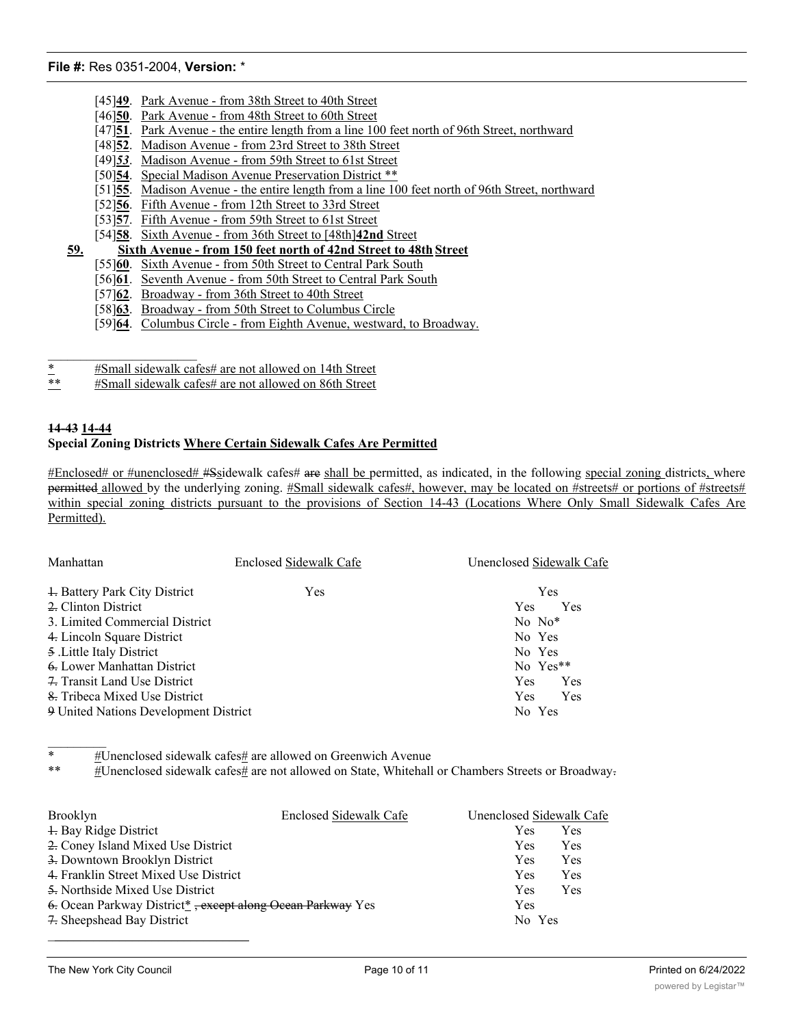- [45]<sup>49</sup>. Park Avenue from 38th Street to 40th Street
- [46]**50**. Park Avenue from 48th Street to 60th Street
- [47]**51**. Park Avenue the entire length from a line 100 feet north of 96th Street, northward
- [48]**52**. Madison Avenue from 23rd Street to 38th Street
- [49]*53*. Madison Avenue from 59th Street to 61st Street
- [50]**54**. Special Madison Avenue Preservation District \*\*
- [51]**55**. Madison Avenue the entire length from a line 100 feet north of 96th Street, northward
- [52]**56**. Fifth Avenue from 12th Street to 33rd Street
- [53]**57**. Fifth Avenue from 59th Street to 61st Street
- [54]**58**. Sixth Avenue from 36th Street to [48th]**42nd** Street
- **59. Sixth Avenue from 150 feet north of 42nd Street to 48th Street**
	- [55]**60**. Sixth Avenue from 50th Street to Central Park South
	- [56]**61**. Seventh Avenue from 50th Street to Central Park South
	- [57]**62**. Broadway from 36th Street to 40th Street
	- [58]**63**. Broadway from 50th Street to Columbus Circle
	- [59]**64**. Columbus Circle from Eighth Avenue, westward, to Broadway.
- \*  $*$  #Small sidewalk cafes# are not allowed on 14th Street<br>\*\*  $*$  #Small sidewalk cafes# are not allowed on 86th Street
- #Small sidewalk cafes# are not allowed on 86th Street

## **14-43 14-44 Special Zoning Districts Where Certain Sidewalk Cafes Are Permitted**

#Enclosed# or #unenclosed# #Ssidewalk cafes# are shall be permitted, as indicated, in the following special zoning districts, where permitted allowed by the underlying zoning. #Small sidewalk cafes#, however, may be located on #streets# or portions of #streets# within special zoning districts pursuant to the provisions of Section 14-43 (Locations Where Only Small Sidewalk Cafes Are Permitted).

| Manhattan                             | Enclosed Sidewalk Cafe | Unenclosed Sidewalk Cafe |  |
|---------------------------------------|------------------------|--------------------------|--|
| + Battery Park City District          | Yes                    | Yes                      |  |
| 2. Clinton District                   |                        | Yes<br><b>Yes</b>        |  |
| 3. Limited Commercial District        | $No No*$               |                          |  |
| 4. Lincoln Square District            | No Yes                 |                          |  |
| 5. Little Italy District              | No Yes                 |                          |  |
| 6. Lower Manhattan District           |                        | No Yes**                 |  |
| 7. Transit Land Use District          |                        | <b>Yes</b><br>Yes        |  |
| 8. Tribeca Mixed Use District         |                        | <b>Yes</b><br>Yes        |  |
| 9 United Nations Development District |                        | No Yes                   |  |

 $\frac{1}{2}$ \*  $\#$ Unenclosed sidewalk cafes $#$  are allowed on Greenwich Avenue

#Unenclosed sidewalk cafes# are not allowed on State, Whitehall or Chambers Streets or Broadway-

| <b>Brooklyn</b>                                            | Enclosed Sidewalk Cafe | Unenclosed Sidewalk Cafe |     |
|------------------------------------------------------------|------------------------|--------------------------|-----|
| 4. Bay Ridge District                                      |                        | Yes                      | Yes |
| 2. Coney Island Mixed Use District                         |                        | Yes                      | Yes |
| 3. Downtown Brooklyn District                              |                        | <b>Yes</b>               | Yes |
| 4. Franklin Street Mixed Use District                      |                        | Yes                      | Yes |
| 5. Northside Mixed Use District                            |                        | <b>Yes</b>               | Yes |
| 6. Ocean Parkway District*, except along Ocean Parkway Yes |                        | Yes                      |     |
| 7. Sheepshead Bay District                                 |                        | No Yes                   |     |
|                                                            |                        |                          |     |